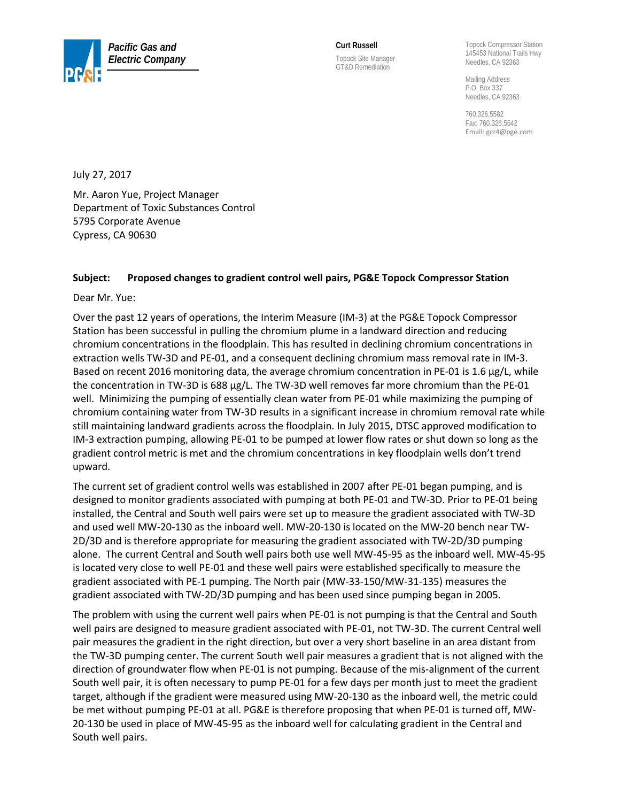

**Curt Russell**  Topock Site Manager GT&D Remediation

Topock Compressor Station 145453 National Trails Hwy Needles, CA 92363

Mailing Address P.O. Box 337 Needles, CA 92363

760.326.5582 Fax: 760.326.5542 Email[: gcr4@pge.com](mailto:gcr4@pge.com)

July 27, 2017

Mr. Aaron Yue, Project Manager Department of Toxic Substances Control 5795 Corporate Avenue Cypress, CA 90630

## **Subject: Proposed changes to gradient control well pairs, PG&E Topock Compressor Station**

Dear Mr. Yue:

Over the past 12 years of operations, the Interim Measure (IM-3) at the PG&E Topock Compressor Station has been successful in pulling the chromium plume in a landward direction and reducing chromium concentrations in the floodplain. This has resulted in declining chromium concentrations in extraction wells TW-3D and PE-01, and a consequent declining chromium mass removal rate in IM-3. Based on recent 2016 monitoring data, the average chromium concentration in PE-01 is 1.6 µg/L, while the concentration in TW-3D is 688 µg/L. The TW-3D well removes far more chromium than the PE-01 well. Minimizing the pumping of essentially clean water from PE-01 while maximizing the pumping of chromium containing water from TW-3D results in a significant increase in chromium removal rate while still maintaining landward gradients across the floodplain. In July 2015, DTSC approved modification to IM-3 extraction pumping, allowing PE-01 to be pumped at lower flow rates or shut down so long as the gradient control metric is met and the chromium concentrations in key floodplain wells don't trend upward.

The current set of gradient control wells was established in 2007 after PE-01 began pumping, and is designed to monitor gradients associated with pumping at both PE-01 and TW-3D. Prior to PE-01 being installed, the Central and South well pairs were set up to measure the gradient associated with TW-3D and used well MW-20-130 as the inboard well. MW-20-130 is located on the MW-20 bench near TW-2D/3D and is therefore appropriate for measuring the gradient associated with TW-2D/3D pumping alone. The current Central and South well pairs both use well MW-45-95 as the inboard well. MW-45-95 is located very close to well PE-01 and these well pairs were established specifically to measure the gradient associated with PE-1 pumping. The North pair (MW-33-150/MW-31-135) measures the gradient associated with TW-2D/3D pumping and has been used since pumping began in 2005.

The problem with using the current well pairs when PE-01 is not pumping is that the Central and South well pairs are designed to measure gradient associated with PE-01, not TW-3D. The current Central well pair measures the gradient in the right direction, but over a very short baseline in an area distant from the TW-3D pumping center. The current South well pair measures a gradient that is not aligned with the direction of groundwater flow when PE-01 is not pumping. Because of the mis-alignment of the current South well pair, it is often necessary to pump PE-01 for a few days per month just to meet the gradient target, although if the gradient were measured using MW-20-130 as the inboard well, the metric could be met without pumping PE-01 at all. PG&E is therefore proposing that when PE-01 is turned off, MW-20-130 be used in place of MW-45-95 as the inboard well for calculating gradient in the Central and South well pairs.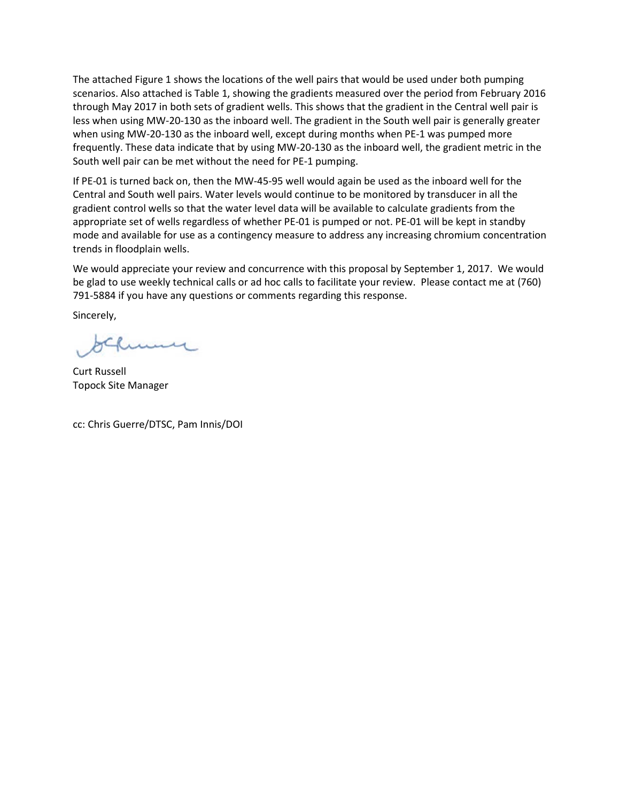The attached Figure 1 shows the locations of the well pairs that would be used under both pumping scenarios. Also attached is Table 1, showing the gradients measured over the period from February 2016 through May 2017 in both sets of gradient wells. This shows that the gradient in the Central well pair is less when using MW-20-130 as the inboard well. The gradient in the South well pair is generally greater when using MW-20-130 as the inboard well, except during months when PE-1 was pumped more frequently. These data indicate that by using MW-20-130 as the inboard well, the gradient metric in the South well pair can be met without the need for PE-1 pumping.

If PE-01 is turned back on, then the MW-45-95 well would again be used as the inboard well for the Central and South well pairs. Water levels would continue to be monitored by transducer in all the gradient control wells so that the water level data will be available to calculate gradients from the appropriate set of wells regardless of whether PE-01 is pumped or not. PE-01 will be kept in standby mode and available for use as a contingency measure to address any increasing chromium concentration trends in floodplain wells.

We would appreciate your review and concurrence with this proposal by September 1, 2017. We would be glad to use weekly technical calls or ad hoc calls to facilitate your review. Please contact me at (760) 791-5884 if you have any questions or comments regarding this response.

Sincerely,

un

Curt Russell Topock Site Manager

cc: Chris Guerre/DTSC, Pam Innis/DOI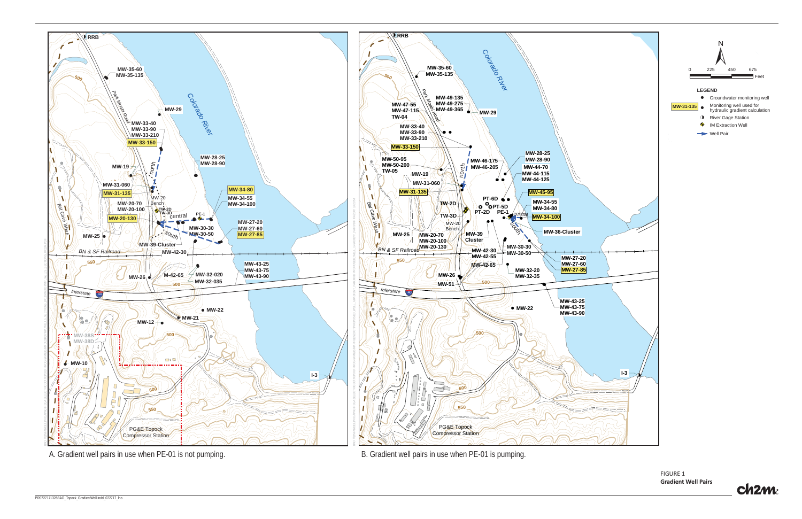FIGURE 1**Gradient Well Pairs**